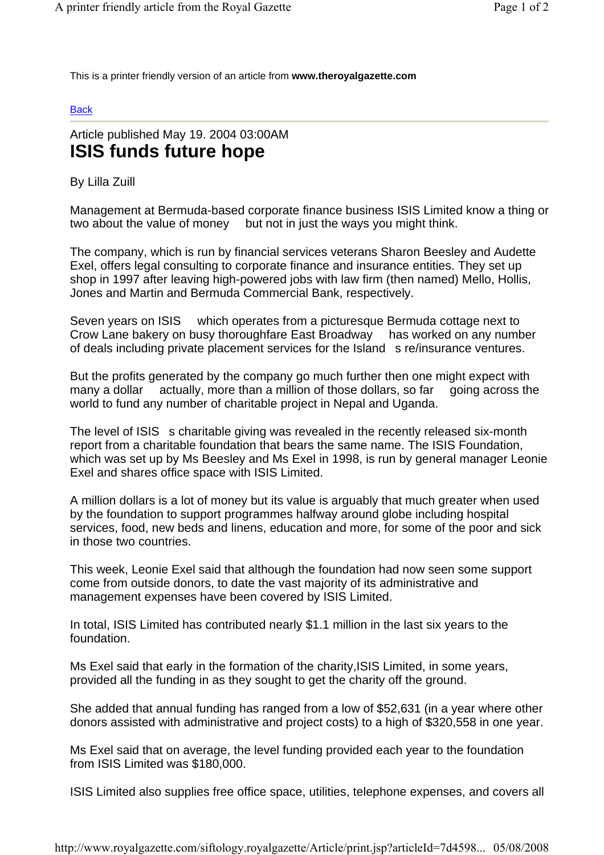This is a printer friendly version of an article from **www.theroyalgazette.com**

## **Back**

## Article published May 19. 2004 03:00AM **ISIS funds future hope**

By Lilla Zuill

Management at Bermuda-based corporate finance business ISIS Limited know a thing or two about the value of money but not in just the ways you might think.

The company, which is run by financial services veterans Sharon Beesley and Audette Exel, offers legal consulting to corporate finance and insurance entities. They set up shop in 1997 after leaving high-powered jobs with law firm (then named) Mello, Hollis, Jones and Martin and Bermuda Commercial Bank, respectively.

Seven years on ISIS which operates from a picturesque Bermuda cottage next to Crow Lane bakery on busy thoroughfare East Broadway has worked on any number of deals including private placement services for the Island s re/insurance ventures.

But the profits generated by the company go much further then one might expect with many a dollar actually, more than a million of those dollars, so far going across the world to fund any number of charitable project in Nepal and Uganda.

The level of ISIS s charitable giving was revealed in the recently released six-month report from a charitable foundation that bears the same name. The ISIS Foundation, which was set up by Ms Beesley and Ms Exel in 1998, is run by general manager Leonie Exel and shares office space with ISIS Limited.

A million dollars is a lot of money but its value is arguably that much greater when used by the foundation to support programmes halfway around globe including hospital services, food, new beds and linens, education and more, for some of the poor and sick in those two countries.

This week, Leonie Exel said that although the foundation had now seen some support come from outside donors, to date the vast majority of its administrative and management expenses have been covered by ISIS Limited.

In total, ISIS Limited has contributed nearly \$1.1 million in the last six years to the foundation.

Ms Exel said that early in the formation of the charity,ISIS Limited, in some years, provided all the funding in as they sought to get the charity off the ground.

She added that annual funding has ranged from a low of \$52,631 (in a year where other donors assisted with administrative and project costs) to a high of \$320,558 in one year.

Ms Exel said that on average, the level funding provided each year to the foundation from ISIS Limited was \$180,000.

ISIS Limited also supplies free office space, utilities, telephone expenses, and covers all